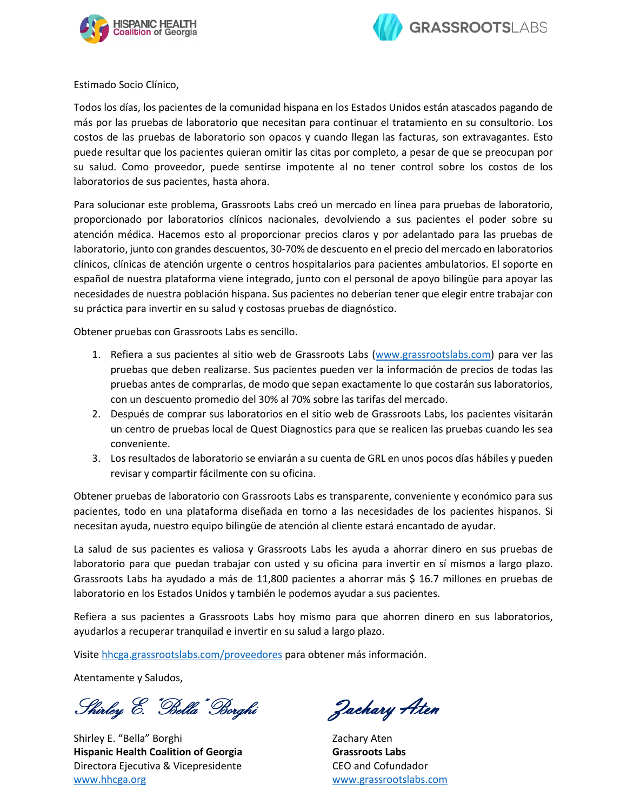



Estimado Socio Clínico,

Todos los días, los pacientes de la comunidad hispana en los Estados Unidos están atascados pagando de más por las pruebas de laboratorio que necesitan para continuar el tratamiento en su consultorio. Los costos de las pruebas de laboratorio son opacos y cuando llegan las facturas, son extravagantes. Esto puede resultar que los pacientes quieran omitir las citas por completo, a pesar de que se preocupan por su salud. Como proveedor, puede sentirse impotente al no tener control sobre los costos de los laboratorios de sus pacientes, hasta ahora.

Para solucionar este problema, Grassroots Labs creó un mercado en línea para pruebas de laboratorio, proporcionado por laboratorios clínicos nacionales, devolviendo a sus pacientes el poder sobre su atención médica. Hacemos esto al proporcionar precios claros y por adelantado para las pruebas de laboratorio, junto con grandes descuentos, 30-70% de descuento en el precio del mercado en laboratorios clínicos, clínicas de atención urgente o centros hospitalarios para pacientes ambulatorios. El soporte en español de nuestra plataforma viene integrado, junto con el personal de apoyo bilingüe para apoyar las necesidades de nuestra población hispana. Sus pacientes no deberían tener que elegir entre trabajar con su práctica para invertir en su salud y costosas pruebas de diagnóstico.

Obtener pruebas con Grassroots Labs es sencillo.

- 1. Refiera a sus pacientes al sitio web de Grassroots Labs (www.grassrootslabs.com) para ver las pruebas que deben realizarse. Sus pacientes pueden ver la información de precios de todas las pruebas antes de comprarlas, de modo que sepan exactamente lo que costarán sus laboratorios, con un descuento promedio del 30% al 70% sobre las tarifas del mercado.
- 2. Después de comprar sus laboratorios en el sitio web de Grassroots Labs, los pacientes visitarán un centro de pruebas local de Quest Diagnostics para que se realicen las pruebas cuando les sea conveniente.
- 3. Los resultados de laboratorio se enviarán a su cuenta de GRL en unos pocos días hábiles y pueden revisar y compartir fácilmente con su oficina.

Obtener pruebas de laboratorio con Grassroots Labs es transparente, conveniente y económico para sus pacientes, todo en una plataforma diseñada en torno a las necesidades de los pacientes hispanos. Si necesitan ayuda, nuestro equipo bilingüe de atención al cliente estará encantado de ayudar.

La salud de sus pacientes es valiosa y Grassroots Labs les ayuda a ahorrar dinero en sus pruebas de laboratorio para que puedan trabajar con usted y su oficina para invertir en sí mismos a largo plazo. Grassroots Labs ha ayudado a más de 11,800 pacientes a ahorrar más \$ 16.7 millones en pruebas de laboratorio en los Estados Unidos y también le podemos ayudar a sus pacientes.

Refiera a sus pacientes a Grassroots Labs hoy mismo para que ahorren dinero en sus laboratorios, ayudarlos a recuperar tranquilad e invertir en su salud a largo plazo.

Visite [hhcga.grassrootslabs.com/proveedores](https://hhcga.grassrootslabs.com/proveedores) para obtener más información.

Atentamente y Saludos,

Shirley E. "Bella" Borghi Zachary Aten

Shirley E. "Bella" Borghi **Hispanic Health Coalition of Georgia**  Directora Ejecutiva & Vicepresidente [www.hhcga.org](http://www.hhcga.org/)

Zachary Aten **Grassroots Labs** CEO and Cofundador [www.grassrootslabs.com](http://www.grassrootslabs.com/)